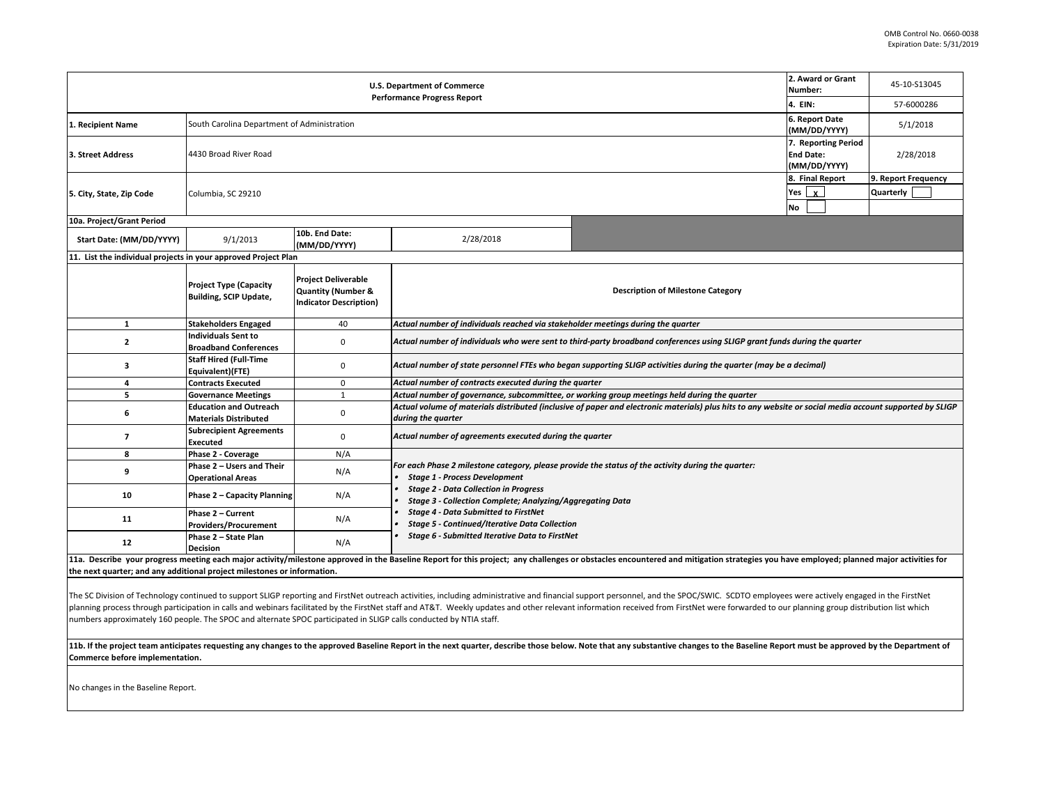|                                                                                                                                                                                                                                      | 2. Award or Grant<br>Number:                                  | 45-10-S13045                                                                                 |                                                                                                                                                                                |                                                         |            |  |  |  |
|--------------------------------------------------------------------------------------------------------------------------------------------------------------------------------------------------------------------------------------|---------------------------------------------------------------|----------------------------------------------------------------------------------------------|--------------------------------------------------------------------------------------------------------------------------------------------------------------------------------|---------------------------------------------------------|------------|--|--|--|
|                                                                                                                                                                                                                                      |                                                               |                                                                                              | <b>Performance Progress Report</b>                                                                                                                                             | 4. EIN:                                                 | 57-6000286 |  |  |  |
| 1. Recipient Name                                                                                                                                                                                                                    | South Carolina Department of Administration                   |                                                                                              |                                                                                                                                                                                | 6. Report Date<br>(MM/DD/YYYY)                          | 5/1/2018   |  |  |  |
| 3. Street Address                                                                                                                                                                                                                    | 4430 Broad River Road                                         |                                                                                              |                                                                                                                                                                                | 7. Reporting Period<br><b>End Date:</b><br>(MM/DD/YYYY) | 2/28/2018  |  |  |  |
| 5. City, State, Zip Code                                                                                                                                                                                                             | Columbia, SC 29210                                            | 8. Final Report<br>Yes $x$<br>No                                                             | 9. Report Frequency<br>Quarterly                                                                                                                                               |                                                         |            |  |  |  |
| 10a. Project/Grant Period                                                                                                                                                                                                            |                                                               |                                                                                              |                                                                                                                                                                                |                                                         |            |  |  |  |
| Start Date: (MM/DD/YYYY)                                                                                                                                                                                                             | 9/1/2013                                                      | 10b. End Date:<br>(MM/DD/YYYY)                                                               | 2/28/2018                                                                                                                                                                      |                                                         |            |  |  |  |
| 11. List the individual projects in your approved Project Plan                                                                                                                                                                       |                                                               |                                                                                              |                                                                                                                                                                                |                                                         |            |  |  |  |
|                                                                                                                                                                                                                                      | <b>Project Type (Capacity</b><br>Building, SCIP Update,       | <b>Project Deliverable</b><br><b>Quantity (Number &amp;</b><br><b>Indicator Description)</b> | <b>Description of Milestone Category</b>                                                                                                                                       |                                                         |            |  |  |  |
| $\mathbf{1}$                                                                                                                                                                                                                         | <b>Stakeholders Engaged</b>                                   | 40                                                                                           | Actual number of individuals reached via stakeholder meetings during the quarter                                                                                               |                                                         |            |  |  |  |
| $\overline{2}$                                                                                                                                                                                                                       | <b>Individuals Sent to</b><br><b>Broadband Conferences</b>    | 0                                                                                            | Actual number of individuals who were sent to third-party broadband conferences using SLIGP grant funds during the quarter                                                     |                                                         |            |  |  |  |
| 3                                                                                                                                                                                                                                    | <b>Staff Hired (Full-Time</b><br>Equivalent)(FTE)             | 0                                                                                            | Actual number of state personnel FTEs who began supporting SLIGP activities during the quarter (may be a decimal)                                                              |                                                         |            |  |  |  |
| 4                                                                                                                                                                                                                                    | <b>Contracts Executed</b>                                     | $\mathbf 0$                                                                                  | Actual number of contracts executed during the quarter                                                                                                                         |                                                         |            |  |  |  |
| 5                                                                                                                                                                                                                                    | <b>Governance Meetings</b>                                    | $\mathbf{1}$                                                                                 | Actual number of governance, subcommittee, or working group meetings held during the quarter                                                                                   |                                                         |            |  |  |  |
| 6                                                                                                                                                                                                                                    | <b>Education and Outreach</b><br><b>Materials Distributed</b> | 0                                                                                            | Actual volume of materials distributed (inclusive of paper and electronic materials) plus hits to any website or social media account supported by SLIGP<br>during the quarter |                                                         |            |  |  |  |
| $\overline{7}$                                                                                                                                                                                                                       | <b>Subrecipient Agreements</b><br>Executed                    | 0                                                                                            | Actual number of agreements executed during the quarter                                                                                                                        |                                                         |            |  |  |  |
| 8                                                                                                                                                                                                                                    | Phase 2 - Coverage                                            | N/A                                                                                          |                                                                                                                                                                                |                                                         |            |  |  |  |
| 9                                                                                                                                                                                                                                    | Phase 2 - Users and Their<br><b>Operational Areas</b>         | N/A                                                                                          | For each Phase 2 milestone category, please provide the status of the activity during the quarter:<br><b>Stage 1 - Process Development</b>                                     |                                                         |            |  |  |  |
| 10                                                                                                                                                                                                                                   | <b>Phase 2 - Capacity Planning</b>                            | N/A                                                                                          | <b>Stage 2 - Data Collection in Progress</b><br>Stage 3 - Collection Complete; Analyzing/Aggregating Data                                                                      |                                                         |            |  |  |  |
| 11                                                                                                                                                                                                                                   | Phase 2 - Current<br><b>Providers/Procurement</b>             | N/A                                                                                          | <b>Stage 4 - Data Submitted to FirstNet</b><br><b>Stage 5 - Continued/Iterative Data Collection</b>                                                                            |                                                         |            |  |  |  |
| 12                                                                                                                                                                                                                                   | Phase 2 - State Plan<br><b>Decision</b>                       | N/A                                                                                          | Stage 6 - Submitted Iterative Data to FirstNet                                                                                                                                 |                                                         |            |  |  |  |
| <b>Contract Contract Contract Contract Contract Contract Contract Contract Contract Contract Contract Contract Contract Contract Contract Contract Contract Contract Contract Contract Contract Contract Contract Contract Contr</b> | والمتفاعل والمتمار والمتعارف والمتحاور والمتحال والمتحدث      |                                                                                              | ditor also in a collection in a collection also constants.                                                                                                                     |                                                         |            |  |  |  |

11a. Describe your progress meeting each major activity/milestone approved in the Baseline Report for this project; any challenges or obstacles encountered and mitigation strategies you have employed; planned major activit **the next quarter; and any additional project milestones or information.** 

The SC Division of Technology continued to support SLIGP reporting and FirstNet outreach activities, including administrative and financial support personnel, and the SPOC/SWIC. SCDTO employees were actively engaged in the planning process through participation in calls and webinars facilitated by the FirstNet staff and AT&T. Weekly updates and other relevant information received from FirstNet were forwarded to our planning group distributio numbers approximately 160 people. The SPOC and alternate SPOC participated in SLIGP calls conducted by NTIA staff.

11b. If the project team anticipates requesting any changes to the approved Baseline Report in the next quarter, describe those below. Note that any substantive changes to the Baseline Report must be approved by the Depart **Commerce before implementation.** 

No changes in the Baseline Report.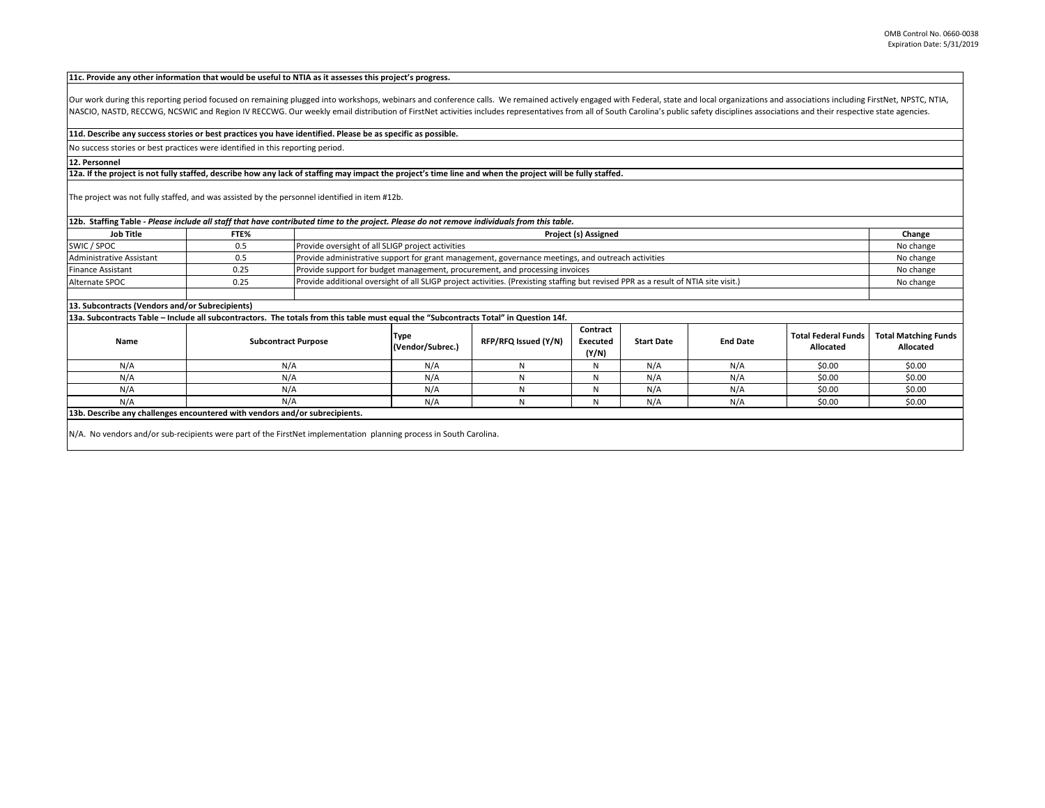#### **11c. Provide any other information that would be useful to NTIA as it assesses this project's progress.**

Our work during this reporting period focused on remaining plugged into workshops, webinars and conference calls. We remained actively engaged with Federal, state and local organizations and associations including FirstNet NASCIO, NASTD, RECCWG, NCSWIC and Region IV RECCWG. Our weekly email distribution of FirstNet activities includes representatives from all of South Carolina's public safety disciplines associations and their respective sta

### **11d. Describe any success stories or best practices you have identified. Please be as specific as possible.**

No success stories or best practices were identified in this reporting period.

## **12. Personnel**

## **12a. If the project is not fully staffed, describe how any lack of staffing may impact the project's time line and when the project will be fully staffed.**

The project was not fully staffed, and was assisted by the personnel identified in item #12b.

## **12b. Staffing Table -** *Please include all staff that have contributed time to the project. Please do not remove individuals from this table.*

| <b>Job Title</b>         | FTE% | <b>Project (s) Assigned</b>                                                                                                         |           |
|--------------------------|------|-------------------------------------------------------------------------------------------------------------------------------------|-----------|
| SWIC / SPOC              | 0.5  | Provide oversight of all SLIGP project activities                                                                                   | No change |
| Administrative Assistant | 0.5  | Provide administrative support for grant management, governance meetings, and outreach activities                                   | No change |
| <b>Finance Assistant</b> | 0.25 | Provide support for budget management, procurement, and processing invoices                                                         | No change |
| Alternate SPOC           | 0.25 | Provide additional oversight of all SLIGP project activities. (Prexisting staffing but revised PPR as a result of NTIA site visit.) | No change |
|                          |      |                                                                                                                                     |           |

### **13. Subcontracts (Vendors and/or Subrecipients)**

**13a. Subcontracts Table – Include all subcontractors. The totals from this table must equal the "Subcontracts Total" in Question 14f.**

| Name | <b>Subcontract Purpose</b>                                                                                         | Type<br>(Vendor/Subrec.) | RFP/RFQ Issued (Y/N) | Contract<br>Executed<br>(Y/N) | <b>Start Date</b> | <b>End Date</b> | <b>Total Federal Funds</b><br>Allocated | <b>Total Matching Funds</b><br>Allocated |
|------|--------------------------------------------------------------------------------------------------------------------|--------------------------|----------------------|-------------------------------|-------------------|-----------------|-----------------------------------------|------------------------------------------|
| N/A  | N/A                                                                                                                | N/A                      |                      |                               | N/A               | N/A             | \$0.00                                  | \$0.00                                   |
| N/A  | N/A                                                                                                                | N/A                      |                      |                               | N/A               | N/A             | \$0.00                                  | \$0.00                                   |
| N/A  | N/A                                                                                                                | N/A                      |                      |                               | N/A               | N/A             | \$0.00                                  | \$0.00                                   |
| N/A  | N/A                                                                                                                | N/A                      |                      |                               | N/A               | N/A             | \$0.00                                  | \$0.00                                   |
|      | 13b. Describe any challenges encountered with vendors and/or subrecipients.                                        |                          |                      |                               |                   |                 |                                         |                                          |
|      | N/A. No vendors and/or sub-recipients were part of the FirstNet implementation planning process in South Carolina. |                          |                      |                               |                   |                 |                                         |                                          |